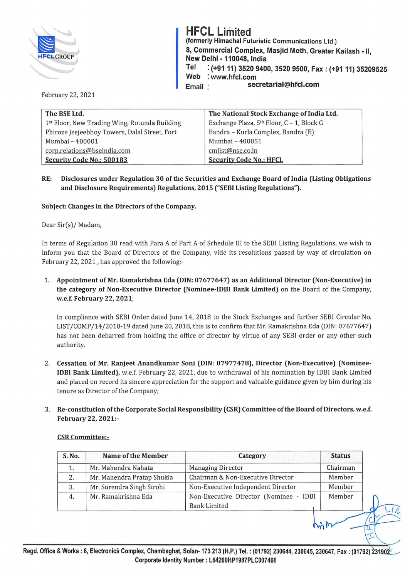

# **HFCL Limited**

**(formerly Himachal Futuristic** Communications Ltd.) **8, Commercial Complex, Masjid Moth, Greater** Kailash -11, **New Delhi** • **110048, India Tel** : **(+9111) 3520 9400, 3520 9500, Fax: (+9111) 35209525 Web** : **www.hfcl.com**  Email **Fulle Secretarial@hfcl.com** 

February 22, 2021

| The BSE Ltd.                                  | The National Stock Exchange of India Ltd. |
|-----------------------------------------------|-------------------------------------------|
| 1st Floor, New Trading Wing, Rotunda Building | Exchange Plaza, 5th Floor, C - 1, Block G |
| Phiroze Jeejeebhoy Towers, Dalal Street, Fort | Bandra - Kurla Complex, Bandra (E)        |
| Mumbai - 400001                               | Mumbai - 400051                           |
| corp.relations@bseindia.com                   | cmlist@nse.co.in                          |
| Security Code No.: 500183                     | <b>Security Code No.: HFCL</b>            |

## **RE: Disclosures under Regulation 30 of the Securities and Exchange Board of India (Listing Obligations and Disclosure Requirements) Regulations, 2015 ("SEBI Listing Regulations").**

### **Subject: Changes in the Directors of the Company.**

#### Dear Sir(s)/ Madam,

In terms of Regulation 30 read with Para A of Part A of Schedule III to the SEBI Listing Regulations, we wish to inform you that the Board of Directors of the Company, vide its resolutions passed by way of circulation on February 22, 2021, has approved the following:-

1. **Appointment of Mr. Ramakrishna Eda (DIN: 07677647) as an Additional Director (Non-Executive) in the category of Non-Executive Director (Nominee-IDBI Bank Limited)** on the Board of the Company, **w.e.f. February 22, 2021;** 

In compliance with SEBI Order dated June 14, 2018 to the Stock Exchanges and further SEBI Circular No. LIST /COMP /14/2018-19 dated June 20, 2018, this is to confirm that Mr. Ramakrishna Eda (DIN: 07677647) has not been debarred from holding the office of director by virtue of any SEBI order or any other such authority.

- 2. **Cessation of Mr. Ranjeet Anandkumar Soni (DIN: 07977478), Director (Non-Executive) (Nominee-IDBI Bank Limited),** w.e.f. February 22, 2021, due to withdrawal of his nomination by IDBI Bank Limited and placed on record its sincere appreciation for the support and valuable guidance given by him during his tenure as Director of the Company;
- 3. **Re-constitution of the Corporate Social Responsibility (CSR) Committee of the Board of Directors, w.e.f. February 22, 2021:-**

#### **CSR Committee:-**

| S. No. | Name of the Member         | Category                                                      | <b>Status</b> |
|--------|----------------------------|---------------------------------------------------------------|---------------|
| 1.     | Mr. Mahendra Nahata        | <b>Managing Director</b>                                      | Chairman      |
| 2.     | Mr. Mahendra Pratap Shukla | Chairman & Non-Executive Director                             | Member        |
| 3.     | Mr. Surendra Singh Sirohi  | Non-Executive Independent Director                            | Member        |
| 4.     | Mr. Ramakrishna Eda        | Non-Executive Director (Nominee - IDBI<br><b>Bank Limited</b> | Member        |
|        |                            |                                                               |               |

 $m - \frac{1}{\sqrt{2}}$